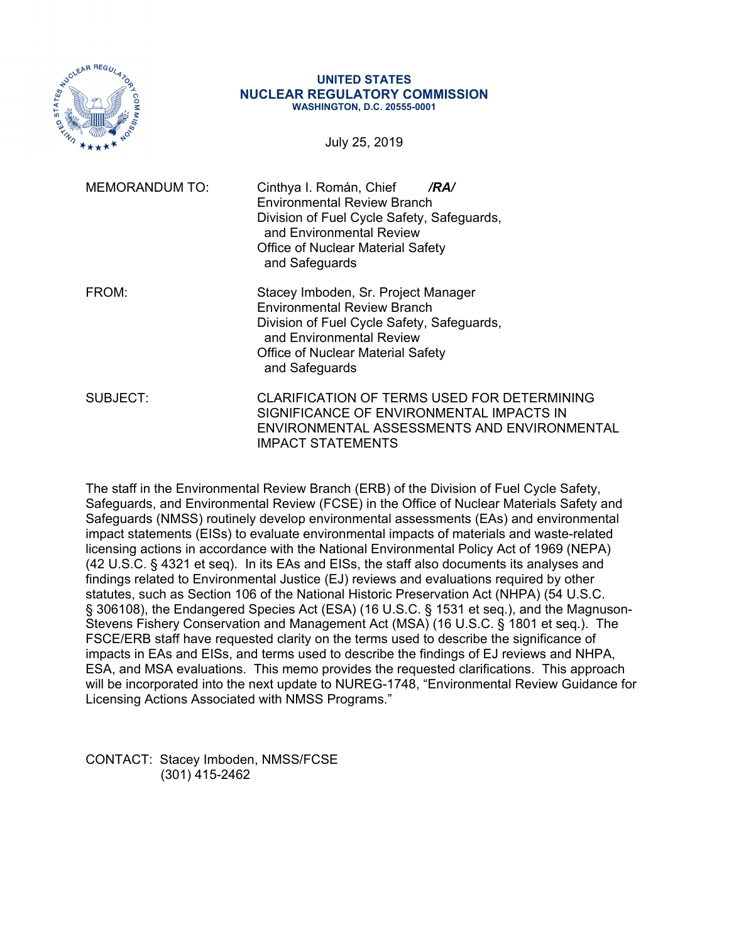

#### **UNITED STATES NUCLEAR REGULATORY COMMISSION WASHINGTON, D.C. 20555-0001**

July 25, 2019

| <b>MEMORANDUM TO:</b> | Cinthya I. Román, Chief<br>/RA/<br><b>Environmental Review Branch</b><br>Division of Fuel Cycle Safety, Safeguards,<br>and Environmental Review<br><b>Office of Nuclear Material Safety</b><br>and Safeguards     |
|-----------------------|-------------------------------------------------------------------------------------------------------------------------------------------------------------------------------------------------------------------|
| FROM:                 | Stacey Imboden, Sr. Project Manager<br><b>Environmental Review Branch</b><br>Division of Fuel Cycle Safety, Safeguards,<br>and Environmental Review<br><b>Office of Nuclear Material Safety</b><br>and Safeguards |
| SUBJECT:              | CLARIFICATION OF TERMS USED FOR DETERMINING<br>SIGNIFICANCE OF ENVIRONMENTAL IMPACTS IN<br>ENVIRONMENTAL ASSESSMENTS AND ENVIRONMENTAL<br>IMPACT STATEMENTS                                                       |

The staff in the Environmental Review Branch (ERB) of the Division of Fuel Cycle Safety, Safeguards, and Environmental Review (FCSE) in the Office of Nuclear Materials Safety and Safeguards (NMSS) routinely develop environmental assessments (EAs) and environmental impact statements (EISs) to evaluate environmental impacts of materials and waste-related licensing actions in accordance with the National Environmental Policy Act of 1969 (NEPA) (42 U.S.C. § 4321 et seq). In its EAs and EISs, the staff also documents its analyses and findings related to Environmental Justice (EJ) reviews and evaluations required by other statutes, such as Section 106 of the National Historic Preservation Act (NHPA) (54 U.S.C. § 306108), the Endangered Species Act (ESA) (16 U.S.C. § 1531 et seq.), and the Magnuson-Stevens Fishery Conservation and Management Act (MSA) (16 U.S.C. § 1801 et seq.). The FSCE/ERB staff have requested clarity on the terms used to describe the significance of impacts in EAs and EISs, and terms used to describe the findings of EJ reviews and NHPA, ESA, and MSA evaluations. This memo provides the requested clarifications. This approach will be incorporated into the next update to NUREG-1748, "Environmental Review Guidance for Licensing Actions Associated with NMSS Programs."

CONTACT: Stacey Imboden, NMSS/FCSE (301) 415-2462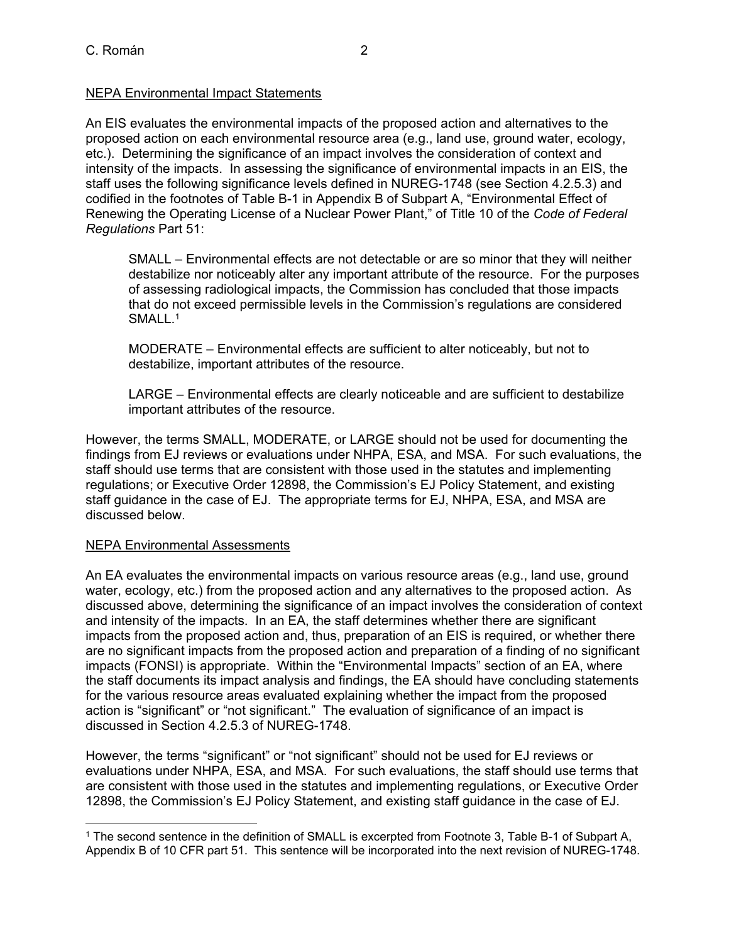# NEPA Environmental Impact Statements

An EIS evaluates the environmental impacts of the proposed action and alternatives to the proposed action on each environmental resource area (e.g., land use, ground water, ecology, etc.). Determining the significance of an impact involves the consideration of context and intensity of the impacts. In assessing the significance of environmental impacts in an EIS, the staff uses the following significance levels defined in NUREG-1748 (see Section 4.2.5.3) and codified in the footnotes of Table B-1 in Appendix B of Subpart A, "Environmental Effect of Renewing the Operating License of a Nuclear Power Plant," of Title 10 of the *Code of Federal Regulations* Part 51:

SMALL – Environmental effects are not detectable or are so minor that they will neither destabilize nor noticeably alter any important attribute of the resource. For the purposes of assessing radiological impacts, the Commission has concluded that those impacts that do not exceed permissible levels in the Commission's regulations are considered SMALL.<sup>1</sup>

MODERATE – Environmental effects are sufficient to alter noticeably, but not to destabilize, important attributes of the resource.

LARGE – Environmental effects are clearly noticeable and are sufficient to destabilize important attributes of the resource.

However, the terms SMALL, MODERATE, or LARGE should not be used for documenting the findings from EJ reviews or evaluations under NHPA, ESA, and MSA. For such evaluations, the staff should use terms that are consistent with those used in the statutes and implementing regulations; or Executive Order 12898, the Commission's EJ Policy Statement, and existing staff guidance in the case of EJ. The appropriate terms for EJ, NHPA, ESA, and MSA are discussed below.

## NEPA Environmental Assessments

An EA evaluates the environmental impacts on various resource areas (e.g., land use, ground water, ecology, etc.) from the proposed action and any alternatives to the proposed action. As discussed above, determining the significance of an impact involves the consideration of context and intensity of the impacts. In an EA, the staff determines whether there are significant impacts from the proposed action and, thus, preparation of an EIS is required, or whether there are no significant impacts from the proposed action and preparation of a finding of no significant impacts (FONSI) is appropriate. Within the "Environmental Impacts" section of an EA, where the staff documents its impact analysis and findings, the EA should have concluding statements for the various resource areas evaluated explaining whether the impact from the proposed action is "significant" or "not significant." The evaluation of significance of an impact is discussed in Section 4.2.5.3 of NUREG-1748.

However, the terms "significant" or "not significant" should not be used for EJ reviews or evaluations under NHPA, ESA, and MSA. For such evaluations, the staff should use terms that are consistent with those used in the statutes and implementing regulations, or Executive Order 12898, the Commission's EJ Policy Statement, and existing staff guidance in the case of EJ.

<sup>1</sup> The second sentence in the definition of SMALL is excerpted from Footnote 3, Table B-1 of Subpart A, Appendix B of 10 CFR part 51. This sentence will be incorporated into the next revision of NUREG-1748.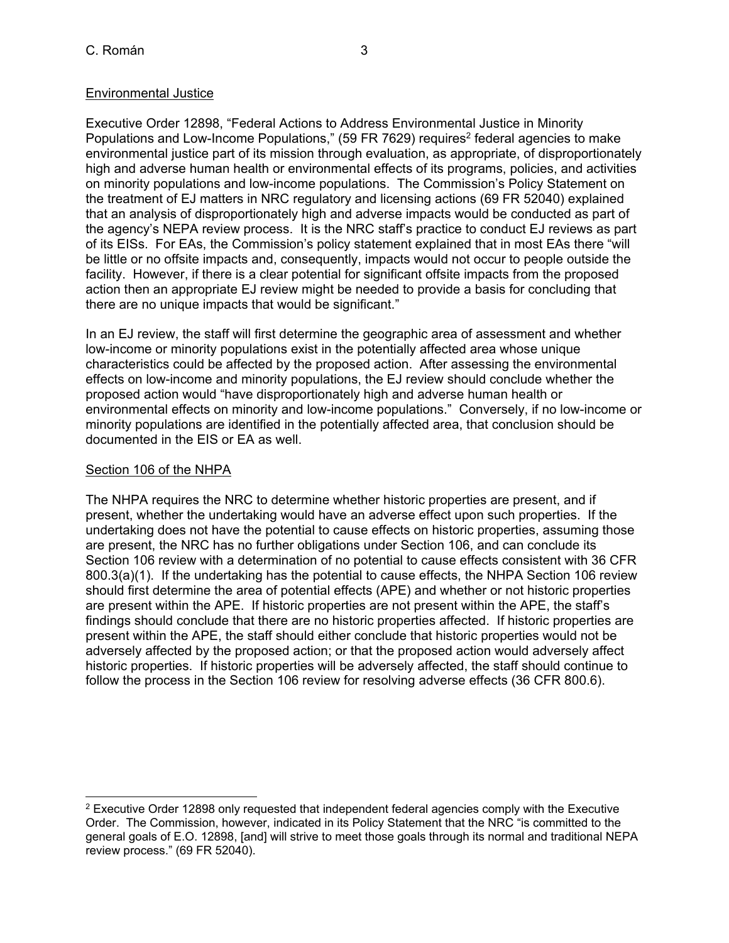# Environmental Justice

Executive Order 12898, "Federal Actions to Address Environmental Justice in Minority Populations and Low-Income Populations," (59 FR 7629) requires<sup>2</sup> federal agencies to make environmental justice part of its mission through evaluation, as appropriate, of disproportionately high and adverse human health or environmental effects of its programs, policies, and activities on minority populations and low-income populations. The Commission's Policy Statement on the treatment of EJ matters in NRC regulatory and licensing actions (69 FR 52040) explained that an analysis of disproportionately high and adverse impacts would be conducted as part of the agency's NEPA review process. It is the NRC staff's practice to conduct EJ reviews as part of its EISs. For EAs, the Commission's policy statement explained that in most EAs there "will be little or no offsite impacts and, consequently, impacts would not occur to people outside the facility. However, if there is a clear potential for significant offsite impacts from the proposed action then an appropriate EJ review might be needed to provide a basis for concluding that there are no unique impacts that would be significant."

In an EJ review, the staff will first determine the geographic area of assessment and whether low-income or minority populations exist in the potentially affected area whose unique characteristics could be affected by the proposed action. After assessing the environmental effects on low-income and minority populations, the EJ review should conclude whether the proposed action would "have disproportionately high and adverse human health or environmental effects on minority and low-income populations." Conversely, if no low-income or minority populations are identified in the potentially affected area, that conclusion should be documented in the EIS or EA as well.

# Section 106 of the NHPA

The NHPA requires the NRC to determine whether historic properties are present, and if present, whether the undertaking would have an adverse effect upon such properties. If the undertaking does not have the potential to cause effects on historic properties, assuming those are present, the NRC has no further obligations under Section 106, and can conclude its Section 106 review with a determination of no potential to cause effects consistent with 36 CFR 800.3(a)(1). If the undertaking has the potential to cause effects, the NHPA Section 106 review should first determine the area of potential effects (APE) and whether or not historic properties are present within the APE. If historic properties are not present within the APE, the staff's findings should conclude that there are no historic properties affected. If historic properties are present within the APE, the staff should either conclude that historic properties would not be adversely affected by the proposed action; or that the proposed action would adversely affect historic properties. If historic properties will be adversely affected, the staff should continue to follow the process in the Section 106 review for resolving adverse effects (36 CFR 800.6).

 $2$  Executive Order 12898 only requested that independent federal agencies comply with the Executive Order. The Commission, however, indicated in its Policy Statement that the NRC "is committed to the general goals of E.O. 12898, [and] will strive to meet those goals through its normal and traditional NEPA review process." (69 FR 52040).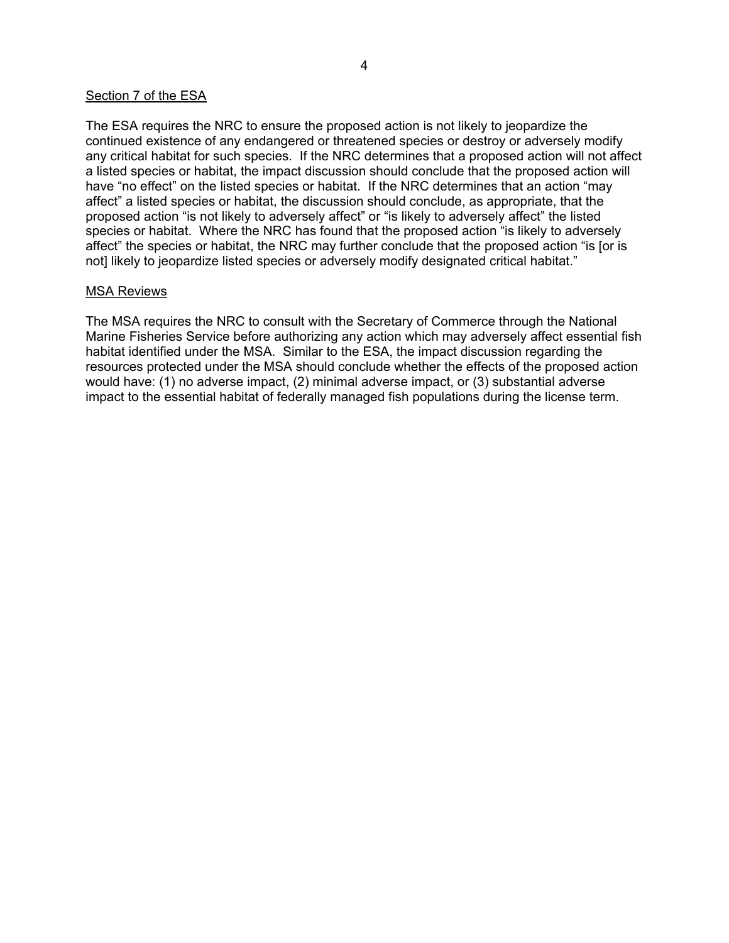#### Section 7 of the ESA

The ESA requires the NRC to ensure the proposed action is not likely to jeopardize the continued existence of any endangered or threatened species or destroy or adversely modify any critical habitat for such species. If the NRC determines that a proposed action will not affect a listed species or habitat, the impact discussion should conclude that the proposed action will have "no effect" on the listed species or habitat. If the NRC determines that an action "may affect" a listed species or habitat, the discussion should conclude, as appropriate, that the proposed action "is not likely to adversely affect" or "is likely to adversely affect" the listed species or habitat. Where the NRC has found that the proposed action "is likely to adversely affect" the species or habitat, the NRC may further conclude that the proposed action "is [or is not] likely to jeopardize listed species or adversely modify designated critical habitat."

#### MSA Reviews

The MSA requires the NRC to consult with the Secretary of Commerce through the National Marine Fisheries Service before authorizing any action which may adversely affect essential fish habitat identified under the MSA. Similar to the ESA, the impact discussion regarding the resources protected under the MSA should conclude whether the effects of the proposed action would have: (1) no adverse impact, (2) minimal adverse impact, or (3) substantial adverse impact to the essential habitat of federally managed fish populations during the license term.